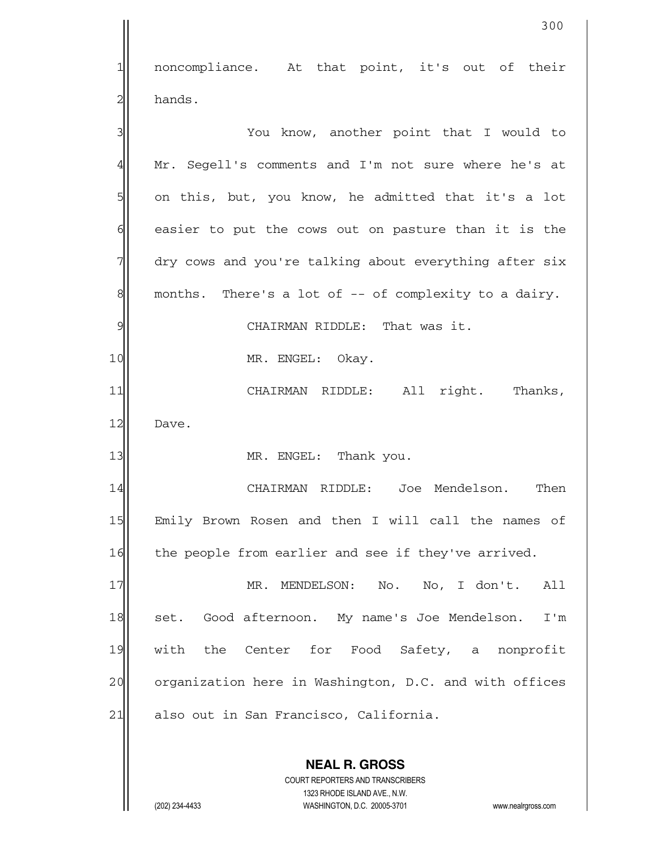**NEAL R. GROSS** COURT REPORTERS AND TRANSCRIBERS 1323 RHODE ISLAND AVE., N.W. 1 noncompliance. At that point, it's out of their  $2$ | hands. 3 3 You know, another point that I would to 4 Mr. Segell's comments and I'm not sure where he's at  $5$  on this, but, you know, he admitted that it's a lot  $6$  easier to put the cows out on pasture than it is the  $7$  dry cows and you're talking about everything after six  $8$  months. There's a lot of  $-$ - of complexity to a dairy. 9 9 10 MR. ENGEL: Okay. 11 CHAIRMAN RIDDLE: All right. Thanks, 12 Dave. 13 MR. ENGEL: Thank you. 14 CHAIRMAN RIDDLE: Joe Mendelson. Then 15 Emily Brown Rosen and then I will call the names of 16 the people from earlier and see if they've arrived. 17 MR. MENDELSON: No. No, I don't. All 18 | set. Good afternoon. My name's Joe Mendelson. I'm 19 with the Center for Food Safety, a nonprofit 20 organization here in Washington, D.C. and with offices 21 also out in San Francisco, California.

300

(202) 234-4433 WASHINGTON, D.C. 20005-3701 www.nealrgross.com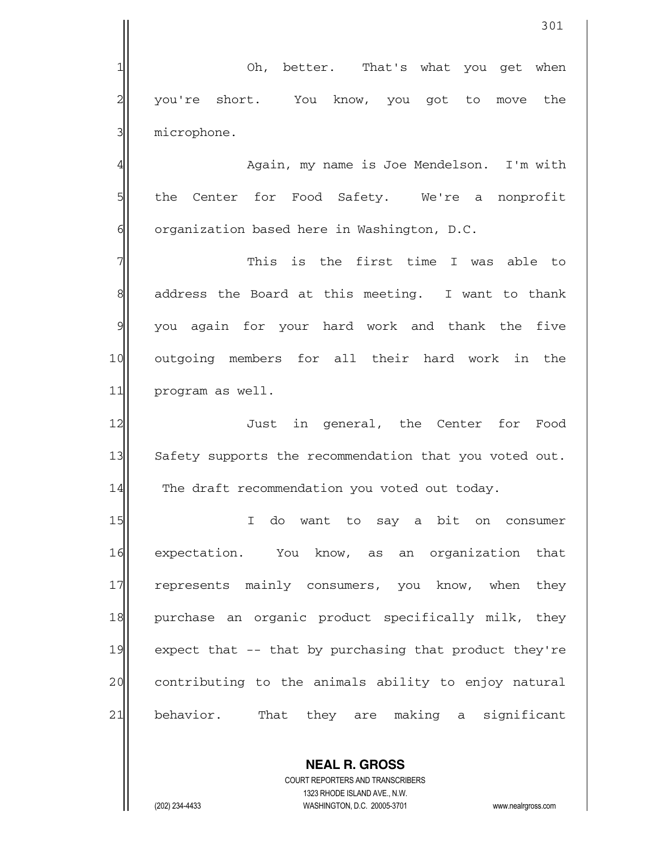301 1 Oh, better. That's what you get when  $2$  you're short. You know, you got to move the  $3$  microphone. 4 Again, my name is Joe Mendelson. I'm with 5 the Center for Food Safety. We're a nonprofit  $6$  organization based here in Washington, D.C.  $7$  This is the first time I was able to 8 address the Board at this meeting. I want to thank  $9$  you again for your hard work and thank the five 10 outgoing members for all their hard work in the 11 program as well. 12 **Just** in general, the Center for Food 13 Safety supports the recommendation that you voted out.  $14$  The draft recommendation you voted out today. 15 I do want to say a bit on consumer 16 expectation. You know, as an organization that 17 represents mainly consumers, you know, when they 18 purchase an organic product specifically milk, they 19 expect that  $-$ - that by purchasing that product they're 20 contributing to the animals ability to enjoy natural 21 behavior. That they are making a significant

 COURT REPORTERS AND TRANSCRIBERS 1323 RHODE ISLAND AVE., N.W. (202) 234-4433 WASHINGTON, D.C. 20005-3701 www.nealrgross.com

 **NEAL R. GROSS**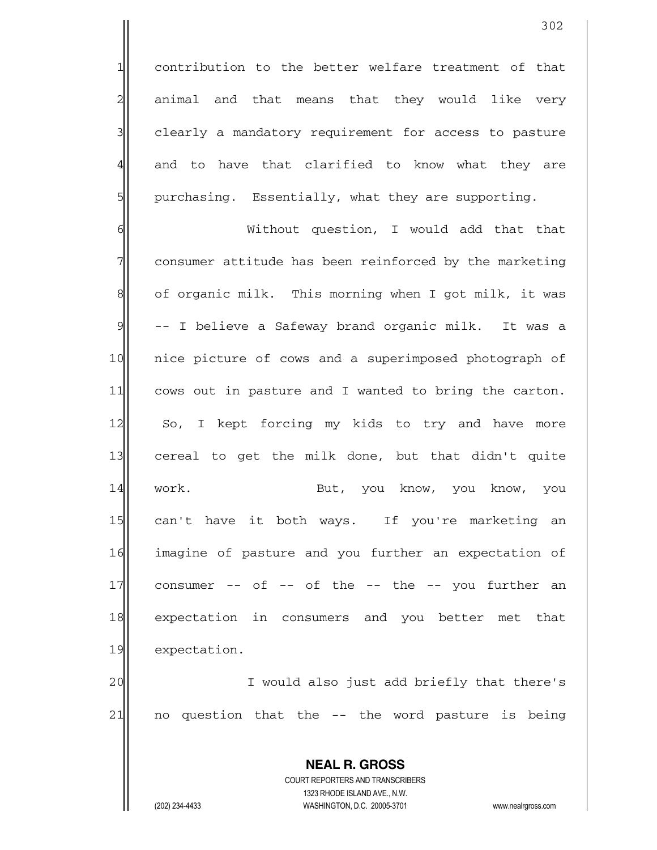1 contribution to the better welfare treatment of that  $2$  animal and that means that they would like very 3 3 clearly a mandatory requirement for access to pasture 4 and to have that clarified to know what they are  $5$  purchasing. Essentially, what they are supporting.

6 | Without question, I would add that that  $7$  consumer attitude has been reinforced by the marketing 8 of organic milk. This morning when I got milk, it was  $9$  -- I believe a Safeway brand organic milk. It was a 10 nice picture of cows and a superimposed photograph of 11 cows out in pasture and I wanted to bring the carton. 12 So, I kept forcing my kids to try and have more 13 cereal to get the milk done, but that didn't quite 14 work. But, you know, you know, you 15 can't have it both ways. If you're marketing an 16 imagine of pasture and you further an expectation of  $17$  consumer -- of -- of the -- the -- you further an 18 expectation in consumers and you better met that 19 expectation.

20 | I would also just add briefly that there's  $21$  no question that the  $-$  the word pasture is being

> **NEAL R. GROSS** COURT REPORTERS AND TRANSCRIBERS

> > 1323 RHODE ISLAND AVE., N.W.

(202) 234-4433 WASHINGTON, D.C. 20005-3701 www.nealrgross.com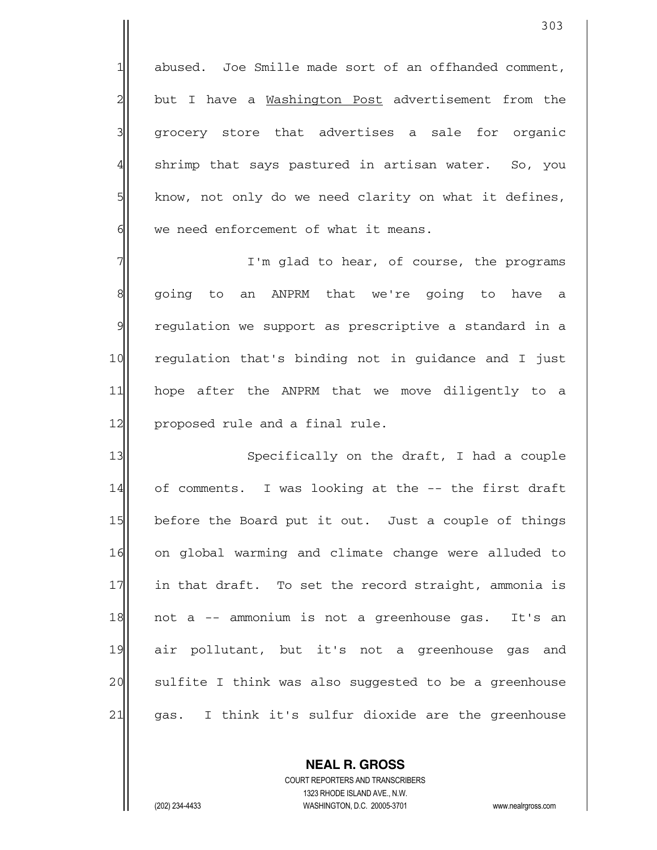1 abused. Joe Smille made sort of an offhanded comment,  $2$  but I have a Washington Post advertisement from the 3 grocery store that advertises a sale for organic 4 shrimp that says pastured in artisan water. So, you  $5$  know, not only do we need clarity on what it defines,  $6$  we need enforcement of what it means.

 $7$  I'm glad to hear, of course, the programs 8 || going to an ANPRM that we're going to have a  $9$  regulation we support as prescriptive a standard in a 10 regulation that's binding not in guidance and I just 11 hope after the ANPRM that we move diligently to a 12 proposed rule and a final rule.

13 Specifically on the draft, I had a couple 14 of comments. I was looking at the -- the first draft 15 before the Board put it out. Just a couple of things 16 on global warming and climate change were alluded to 17 in that draft. To set the record straight, ammonia is 18 not a -- ammonium is not a greenhouse gas. It's an 19 air pollutant, but it's not a greenhouse gas and 20 | sulfite I think was also suggested to be a greenhouse  $21$  gas. I think it's sulfur dioxide are the greenhouse

> **NEAL R. GROSS** COURT REPORTERS AND TRANSCRIBERS 1323 RHODE ISLAND AVE., N.W.

(202) 234-4433 WASHINGTON, D.C. 20005-3701 www.nealrgross.com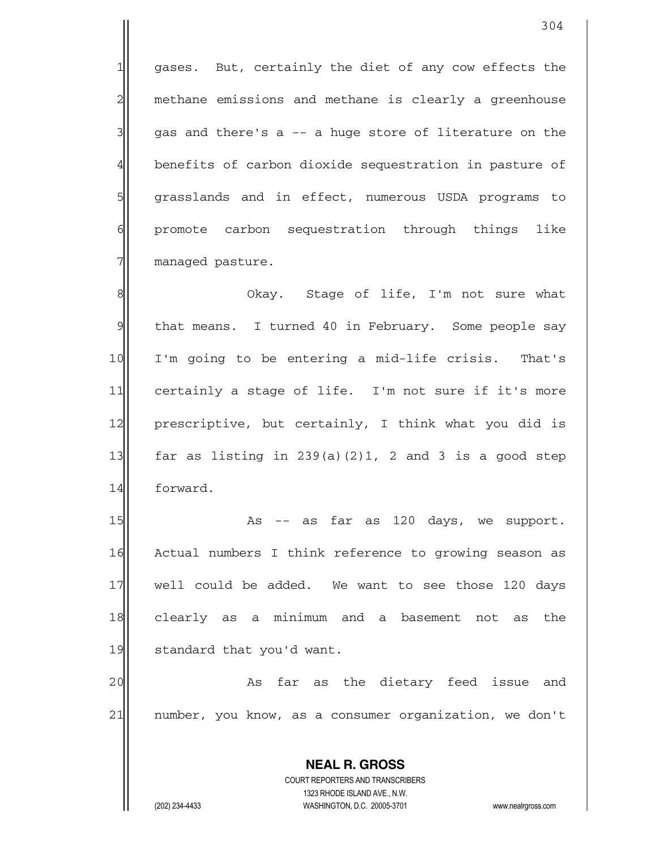$1$  gases. But, certainly the diet of any cow effects the  $2$  methane emissions and methane is clearly a greenhouse  $3$  gas and there's a  $-$  a huge store of literature on the 4 benefits of carbon dioxide sequestration in pasture of 5 grasslands and in effect, numerous USDA programs to 6 6 promote carbon sequestration through things like 7 managed pasture.

8 8 8 Okay. Stage of life, I'm not sure what  $9$  that means. I turned 40 in February. Some people say 10 I'm going to be entering a mid-life crisis. That's 11 certainly a stage of life. I'm not sure if it's more 12 prescriptive, but certainly, I think what you did is 13 far as listing in  $239(a)(2)1$ , 2 and 3 is a good step 14 forward.

 $15$  As  $-$  as far as 120 days, we support. 16 Actual numbers I think reference to growing season as 17 well could be added. We want to see those 120 days 18| clearly as a minimum and a basement not as the 19 standard that you'd want.

20 as far as the dietary feed issue and 21 | number, you know, as a consumer organization, we don't

 **NEAL R. GROSS**

 COURT REPORTERS AND TRANSCRIBERS 1323 RHODE ISLAND AVE., N.W. (202) 234-4433 WASHINGTON, D.C. 20005-3701 www.nealrgross.com

304